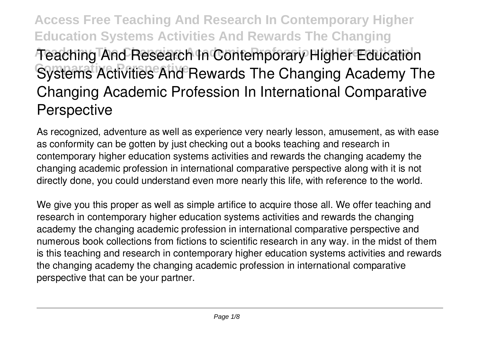**Access Free Teaching And Research In Contemporary Higher Education Systems Activities And Rewards The Changing Academy The Changing Academic Profession In International Teaching And Research In Contemporary Higher Education Systems Activities And Rewards The Changing Academy The Changing Academic Profession In International Comparative Perspective**

As recognized, adventure as well as experience very nearly lesson, amusement, as with ease as conformity can be gotten by just checking out a books **teaching and research in contemporary higher education systems activities and rewards the changing academy the changing academic profession in international comparative perspective** along with it is not directly done, you could understand even more nearly this life, with reference to the world.

We give you this proper as well as simple artifice to acquire those all. We offer teaching and research in contemporary higher education systems activities and rewards the changing academy the changing academic profession in international comparative perspective and numerous book collections from fictions to scientific research in any way. in the midst of them is this teaching and research in contemporary higher education systems activities and rewards the changing academy the changing academic profession in international comparative perspective that can be your partner.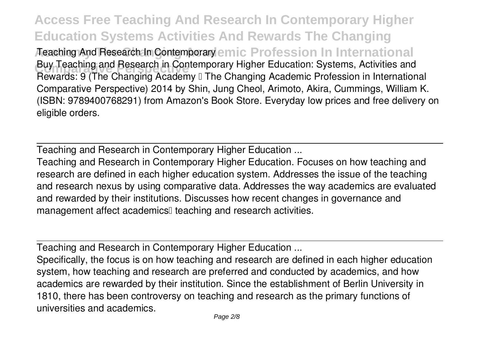**Access Free Teaching And Research In Contemporary Higher Education Systems Activities And Rewards The Changing** Aeaching And Research In Contemporary emic Profession In International Buy Teaching and Research in Contemporary Higher Education: Systems, Activities and<br>Research Of The Changing Academy The Changing Academic Prefection in Internation Rewards: 9 (The Changing Academy II The Changing Academic Profession in International Comparative Perspective) 2014 by Shin, Jung Cheol, Arimoto, Akira, Cummings, William K. (ISBN: 9789400768291) from Amazon's Book Store. Everyday low prices and free delivery on eligible orders.

Teaching and Research in Contemporary Higher Education ...

Teaching and Research in Contemporary Higher Education. Focuses on how teaching and research are defined in each higher education system. Addresses the issue of the teaching and research nexus by using comparative data. Addresses the way academics are evaluated and rewarded by their institutions. Discusses how recent changes in governance and management affect academics<sup>[]</sup> teaching and research activities.

Teaching and Research in Contemporary Higher Education ...

Specifically, the focus is on how teaching and research are defined in each higher education system, how teaching and research are preferred and conducted by academics, and how academics are rewarded by their institution. Since the establishment of Berlin University in 1810, there has been controversy on teaching and research as the primary functions of universities and academics.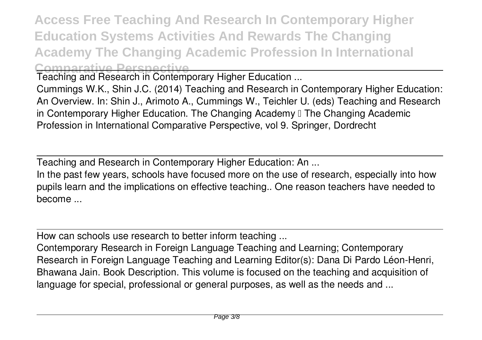**Access Free Teaching And Research In Contemporary Higher Education Systems Activities And Rewards The Changing Academy The Changing Academic Profession In International Comparative Perspective**

Teaching and Research in Contemporary Higher Education ...

Cummings W.K., Shin J.C. (2014) Teaching and Research in Contemporary Higher Education: An Overview. In: Shin J., Arimoto A., Cummings W., Teichler U. (eds) Teaching and Research in Contemporary Higher Education. The Changing Academy II The Changing Academic Profession in International Comparative Perspective, vol 9. Springer, Dordrecht

Teaching and Research in Contemporary Higher Education: An ...

In the past few years, schools have focused more on the use of research, especially into how pupils learn and the implications on effective teaching.. One reason teachers have needed to become ...

How can schools use research to better inform teaching ...

Contemporary Research in Foreign Language Teaching and Learning; Contemporary Research in Foreign Language Teaching and Learning Editor(s): Dana Di Pardo Léon-Henri, Bhawana Jain. Book Description. This volume is focused on the teaching and acquisition of language for special, professional or general purposes, as well as the needs and ...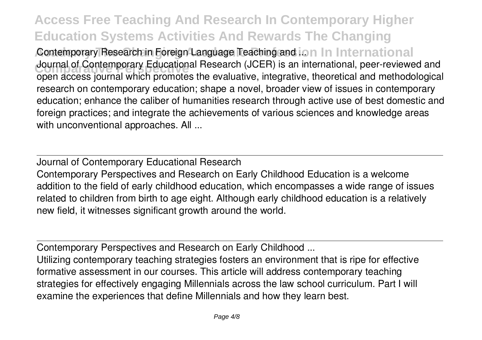**Access Free Teaching And Research In Contemporary Higher Education Systems Activities And Rewards The Changing** Contemporary Research in Foreign Language Teaching and ion In International **Journal of Contemporary Educational Research (JCER) is an international, peer-reviewed and<br>cannot access in what which premates the avaluative integrative theoretical and mathedelessing** open access journal which promotes the evaluative, integrative, theoretical and methodological research on contemporary education; shape a novel, broader view of issues in contemporary education; enhance the caliber of humanities research through active use of best domestic and foreign practices; and integrate the achievements of various sciences and knowledge areas with unconventional approaches. All ...

Journal of Contemporary Educational Research Contemporary Perspectives and Research on Early Childhood Education is a welcome addition to the field of early childhood education, which encompasses a wide range of issues related to children from birth to age eight. Although early childhood education is a relatively new field, it witnesses significant growth around the world.

Contemporary Perspectives and Research on Early Childhood ... Utilizing contemporary teaching strategies fosters an environment that is ripe for effective formative assessment in our courses. This article will address contemporary teaching strategies for effectively engaging Millennials across the law school curriculum. Part I will

examine the experiences that define Millennials and how they learn best.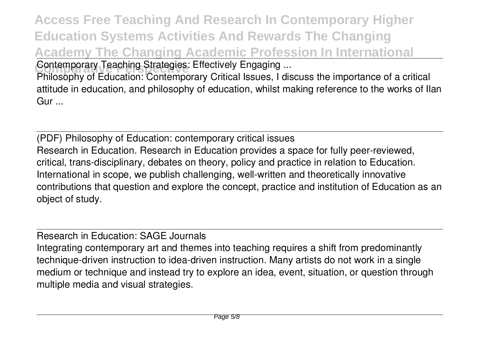**Access Free Teaching And Research In Contemporary Higher Education Systems Activities And Rewards The Changing Academy The Changing Academic Profession In International Contemporary Teaching Strategies: Effectively Engaging ...** 

Philosophy of Education: Contemporary Critical Issues, I discuss the importance of a critical attitude in education, and philosophy of education, whilst making reference to the works of Ilan Gur ...

(PDF) Philosophy of Education: contemporary critical issues Research in Education. Research in Education provides a space for fully peer-reviewed, critical, trans-disciplinary, debates on theory, policy and practice in relation to Education. International in scope, we publish challenging, well-written and theoretically innovative contributions that question and explore the concept, practice and institution of Education as an object of study.

Research in Education: SAGE Journals

Integrating contemporary art and themes into teaching requires a shift from predominantly technique-driven instruction to idea-driven instruction. Many artists do not work in a single medium or technique and instead try to explore an idea, event, situation, or question through multiple media and visual strategies.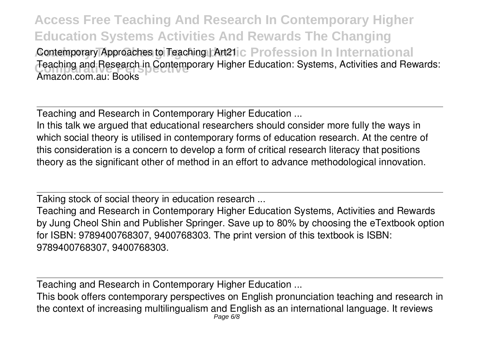**Access Free Teaching And Research In Contemporary Higher Education Systems Activities And Rewards The Changing** Contemporary Approaches to Teaching | Art21ic Profession In International Teaching and Research in Contemporary Higher Education: Systems, Activities and Rewards:<br>Amazan cam aw Reaks Amazon.com.au: Books

Teaching and Research in Contemporary Higher Education ...

In this talk we argued that educational researchers should consider more fully the ways in which social theory is utilised in contemporary forms of education research. At the centre of this consideration is a concern to develop a form of critical research literacy that positions theory as the significant other of method in an effort to advance methodological innovation.

Taking stock of social theory in education research ...

Teaching and Research in Contemporary Higher Education Systems, Activities and Rewards by Jung Cheol Shin and Publisher Springer. Save up to 80% by choosing the eTextbook option for ISBN: 9789400768307, 9400768303. The print version of this textbook is ISBN: 9789400768307, 9400768303.

Teaching and Research in Contemporary Higher Education ...

This book offers contemporary perspectives on English pronunciation teaching and research in the context of increasing multilingualism and English as an international language. It reviews Page 6/8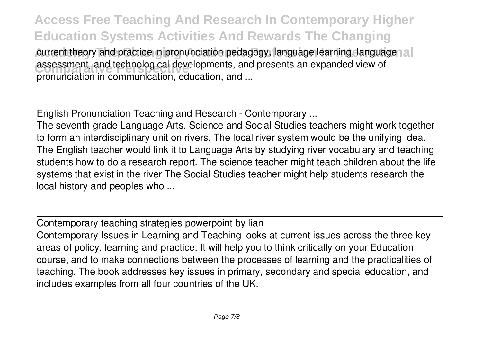**Access Free Teaching And Research In Contemporary Higher Education Systems Activities And Rewards The Changing** current theory and practice in pronunciation pedagogy, language learning, language all assessment, and technological developments, and presents an expanded view of pronunciation in communication, education, and ...

English Pronunciation Teaching and Research - Contemporary ...

The seventh grade Language Arts, Science and Social Studies teachers might work together to form an interdisciplinary unit on rivers. The local river system would be the unifying idea. The English teacher would link it to Language Arts by studying river vocabulary and teaching students how to do a research report. The science teacher might teach children about the life systems that exist in the river The Social Studies teacher might help students research the local history and peoples who ...

Contemporary teaching strategies powerpoint by lian

Contemporary Issues in Learning and Teaching looks at current issues across the three key areas of policy, learning and practice. It will help you to think critically on your Education course, and to make connections between the processes of learning and the practicalities of teaching. The book addresses key issues in primary, secondary and special education, and includes examples from all four countries of the UK.